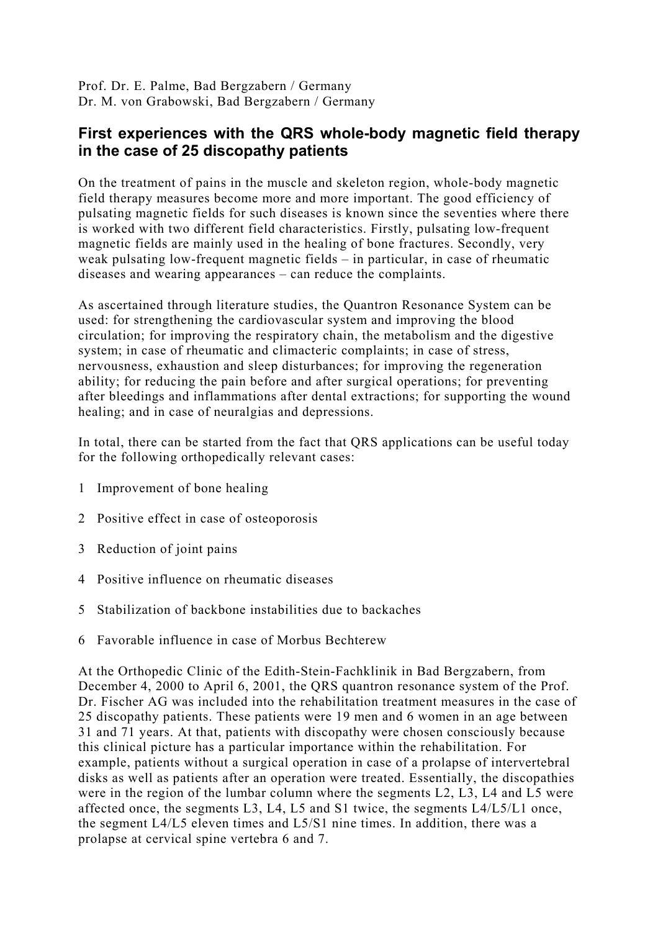Prof. Dr. E. Palme, Bad Bergzabern / Germany Dr. M. von Grabowski, Bad Bergzabern / Germany

## **First experiences with the QRS whole-body magnetic field therapy in the case of 25 discopathy patients**

On the treatment of pains in the muscle and skeleton region, whole-body magnetic field therapy measures become more and more important. The good efficiency of pulsating magnetic fields for such diseases is known since the seventies where there is worked with two different field characteristics. Firstly, pulsating low-frequent magnetic fields are mainly used in the healing of bone fractures. Secondly, very weak pulsating low-frequent magnetic fields – in particular, in case of rheumatic diseases and wearing appearances – can reduce the complaints.

As ascertained through literature studies, the Quantron Resonance System can be used: for strengthening the cardiovascular system and improving the blood circulation; for improving the respiratory chain, the metabolism and the digestive system; in case of rheumatic and climacteric complaints; in case of stress, nervousness, exhaustion and sleep disturbances; for improving the regeneration ability; for reducing the pain before and after surgical operations; for preventing after bleedings and inflammations after dental extractions; for supporting the wound healing; and in case of neuralgias and depressions.

In total, there can be started from the fact that QRS applications can be useful today for the following orthopedically relevant cases:

- 1 Improvement of bone healing
- 2 Positive effect in case of osteoporosis
- 3 Reduction of joint pains
- 4 Positive influence on rheumatic diseases
- 5 Stabilization of backbone instabilities due to backaches
- 6 Favorable influence in case of Morbus Bechterew

At the Orthopedic Clinic of the Edith-Stein-Fachklinik in Bad Bergzabern, from December 4, 2000 to April 6, 2001, the QRS quantron resonance system of the Prof. Dr. Fischer AG was included into the rehabilitation treatment measures in the case of 25 discopathy patients. These patients were 19 men and 6 women in an age between 31 and 71 years. At that, patients with discopathy were chosen consciously because this clinical picture has a particular importance within the rehabilitation. For example, patients without a surgical operation in case of a prolapse of intervertebral disks as well as patients after an operation were treated. Essentially, the discopathies were in the region of the lumbar column where the segments L2, L3, L4 and L5 were affected once, the segments L3, L4, L5 and S1 twice, the segments L4/L5/L1 once, the segment L4/L5 eleven times and L5/S1 nine times. In addition, there was a prolapse at cervical spine vertebra 6 and 7.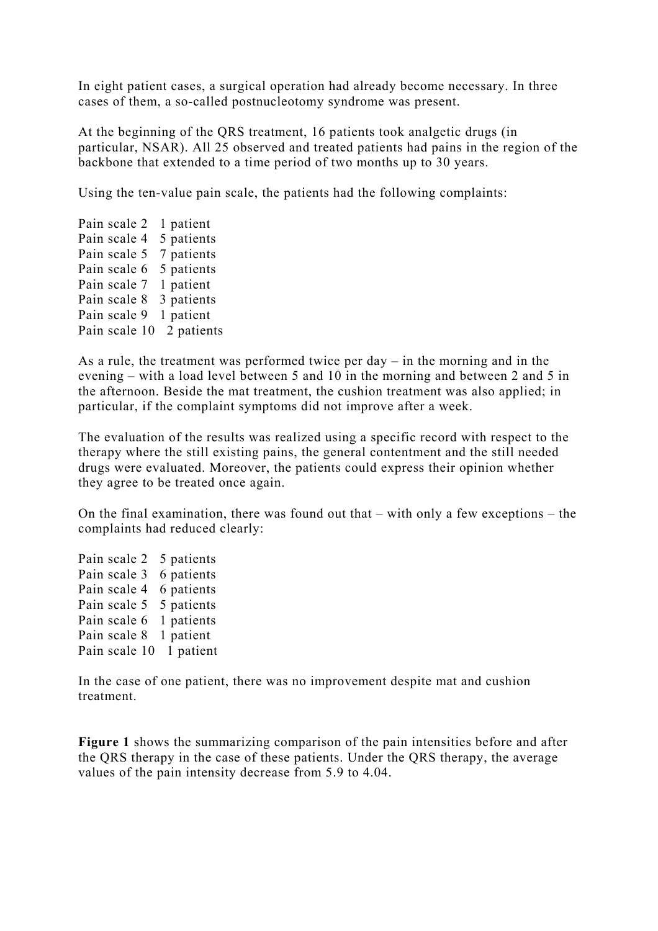In eight patient cases, a surgical operation had already become necessary. In three cases of them, a so-called postnucleotomy syndrome was present.

At the beginning of the QRS treatment, 16 patients took analgetic drugs (in particular, NSAR). All 25 observed and treated patients had pains in the region of the backbone that extended to a time period of two months up to 30 years.

Using the ten-value pain scale, the patients had the following complaints:

Pain scale 2 1 patient Pain scale 4 5 patients Pain scale 5 7 patients Pain scale 6 5 patients Pain scale 7 1 patient Pain scale 8 3 patients Pain scale 9 1 patient Pain scale 10 2 patients

As a rule, the treatment was performed twice per day – in the morning and in the evening – with a load level between 5 and 10 in the morning and between 2 and 5 in the afternoon. Beside the mat treatment, the cushion treatment was also applied; in particular, if the complaint symptoms did not improve after a week.

The evaluation of the results was realized using a specific record with respect to the therapy where the still existing pains, the general contentment and the still needed drugs were evaluated. Moreover, the patients could express their opinion whether they agree to be treated once again.

On the final examination, there was found out that – with only a few exceptions – the complaints had reduced clearly:

Pain scale 2 5 patients Pain scale 3 6 patients Pain scale 4 6 patients Pain scale 5 5 patients Pain scale 6 1 patients Pain scale 8 1 patient Pain scale 10 1 patient

In the case of one patient, there was no improvement despite mat and cushion treatment.

**Figure 1** shows the summarizing comparison of the pain intensities before and after the QRS therapy in the case of these patients. Under the QRS therapy, the average values of the pain intensity decrease from 5.9 to 4.04.